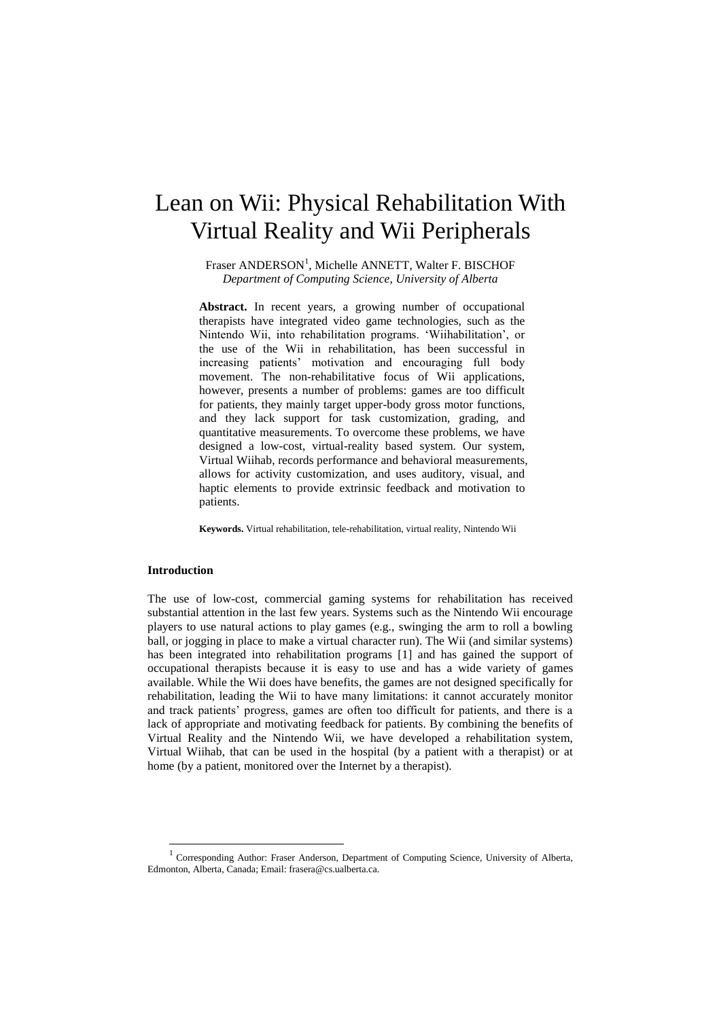# Lean on Wii: Physical Rehabilitation With Virtual Reality and Wii Peripherals

Fraser ANDERSON<sup>1</sup>, Michelle ANNETT, Walter F. BISCHOF *Department of Computing Science, University of Alberta*

**Abstract.** In recent years, a growing number of occupational therapists have integrated video game technologies, such as the Nintendo Wii, into rehabilitation programs. 'Wiihabilitation', or the use of the Wii in rehabilitation, has been successful in increasing patients' motivation and encouraging full body movement. The non-rehabilitative focus of Wii applications, however, presents a number of problems: games are too difficult for patients, they mainly target upper-body gross motor functions, and they lack support for task customization, grading, and quantitative measurements. To overcome these problems, we have designed a low-cost, virtual-reality based system. Our system, Virtual Wiihab, records performance and behavioral measurements, allows for activity customization, and uses auditory, visual, and haptic elements to provide extrinsic feedback and motivation to patients.

**Keywords.** Virtual rehabilitation, tele-rehabilitation, virtual reality, Nintendo Wii

#### **Introduction**

-

The use of low-cost, commercial gaming systems for rehabilitation has received substantial attention in the last few years. Systems such as the Nintendo Wii encourage players to use natural actions to play games (e.g., swinging the arm to roll a bowling ball, or jogging in place to make a virtual character run). The Wii (and similar systems) has been integrated into rehabilitation programs [1] and has gained the support of occupational therapists because it is easy to use and has a wide variety of games available. While the Wii does have benefits, the games are not designed specifically for rehabilitation, leading the Wii to have many limitations: it cannot accurately monitor and track patients' progress, games are often too difficult for patients, and there is a lack of appropriate and motivating feedback for patients. By combining the benefits of Virtual Reality and the Nintendo Wii, we have developed a rehabilitation system, Virtual Wiihab, that can be used in the hospital (by a patient with a therapist) or at home (by a patient, monitored over the Internet by a therapist).

<sup>&</sup>lt;sup>1</sup> Corresponding Author: Fraser Anderson, Department of Computing Science, University of Alberta, Edmonton, Alberta, Canada; Email: frasera@cs.ualberta.ca.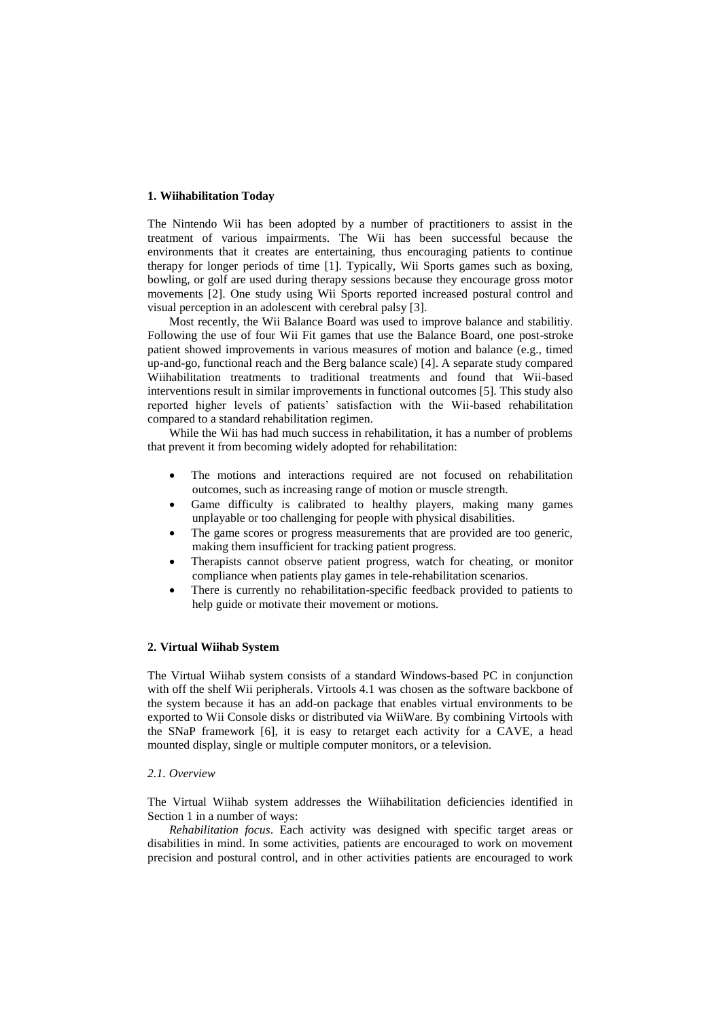## **1. Wiihabilitation Today**

The Nintendo Wii has been adopted by a number of practitioners to assist in the treatment of various impairments. The Wii has been successful because the environments that it creates are entertaining, thus encouraging patients to continue therapy for longer periods of time [1]. Typically, Wii Sports games such as boxing, bowling, or golf are used during therapy sessions because they encourage gross motor movements [2]. One study using Wii Sports reported increased postural control and visual perception in an adolescent with cerebral palsy [3].

Most recently, the Wii Balance Board was used to improve balance and stabilitiy. Following the use of four Wii Fit games that use the Balance Board, one post-stroke patient showed improvements in various measures of motion and balance (e.g., timed up-and-go, functional reach and the Berg balance scale) [4]. A separate study compared Wiihabilitation treatments to traditional treatments and found that Wii-based interventions result in similar improvements in functional outcomes [5]. This study also reported higher levels of patients' satisfaction with the Wii-based rehabilitation compared to a standard rehabilitation regimen.

While the Wii has had much success in rehabilitation, it has a number of problems that prevent it from becoming widely adopted for rehabilitation:

- The motions and interactions required are not focused on rehabilitation outcomes, such as increasing range of motion or muscle strength.
- Game difficulty is calibrated to healthy players, making many games unplayable or too challenging for people with physical disabilities.
- The game scores or progress measurements that are provided are too generic, making them insufficient for tracking patient progress.
- Therapists cannot observe patient progress, watch for cheating, or monitor compliance when patients play games in tele-rehabilitation scenarios.
- There is currently no rehabilitation-specific feedback provided to patients to help guide or motivate their movement or motions.

# **2. Virtual Wiihab System**

The Virtual Wiihab system consists of a standard Windows-based PC in conjunction with off the shelf Wii peripherals. Virtools 4.1 was chosen as the software backbone of the system because it has an add-on package that enables virtual environments to be exported to Wii Console disks or distributed via WiiWare. By combining Virtools with the SNaP framework [6], it is easy to retarget each activity for a CAVE, a head mounted display, single or multiple computer monitors, or a television.

## *2.1. Overview*

The Virtual Wiihab system addresses the Wiihabilitation deficiencies identified in Section 1 in a number of ways:

*Rehabilitation focus*. Each activity was designed with specific target areas or disabilities in mind. In some activities, patients are encouraged to work on movement precision and postural control, and in other activities patients are encouraged to work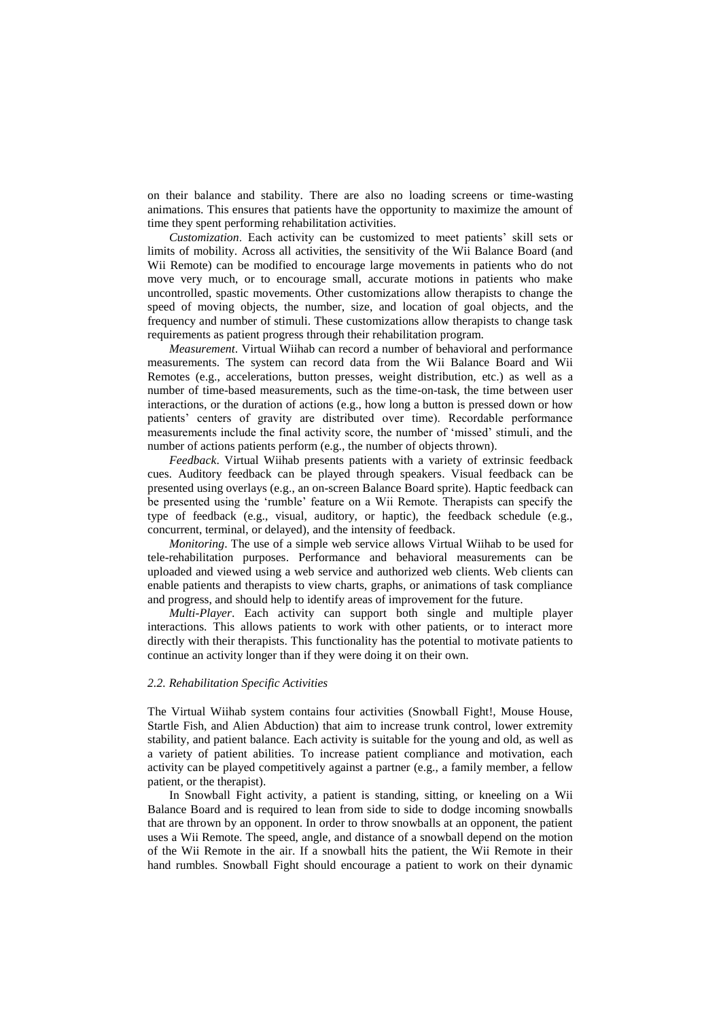on their balance and stability. There are also no loading screens or time-wasting animations. This ensures that patients have the opportunity to maximize the amount of time they spent performing rehabilitation activities.

*Customization*. Each activity can be customized to meet patients' skill sets or limits of mobility. Across all activities, the sensitivity of the Wii Balance Board (and Wii Remote) can be modified to encourage large movements in patients who do not move very much, or to encourage small, accurate motions in patients who make uncontrolled, spastic movements. Other customizations allow therapists to change the speed of moving objects, the number, size, and location of goal objects, and the frequency and number of stimuli. These customizations allow therapists to change task requirements as patient progress through their rehabilitation program.

*Measurement*. Virtual Wiihab can record a number of behavioral and performance measurements. The system can record data from the Wii Balance Board and Wii Remotes (e.g., accelerations, button presses, weight distribution, etc.) as well as a number of time-based measurements, such as the time-on-task, the time between user interactions, or the duration of actions (e.g., how long a button is pressed down or how patients' centers of gravity are distributed over time). Recordable performance measurements include the final activity score, the number of 'missed' stimuli, and the number of actions patients perform (e.g., the number of objects thrown).

*Feedback*. Virtual Wiihab presents patients with a variety of extrinsic feedback cues. Auditory feedback can be played through speakers. Visual feedback can be presented using overlays (e.g., an on-screen Balance Board sprite). Haptic feedback can be presented using the 'rumble' feature on a Wii Remote. Therapists can specify the type of feedback (e.g., visual, auditory, or haptic), the feedback schedule (e.g., concurrent, terminal, or delayed), and the intensity of feedback.

*Monitoring*. The use of a simple web service allows Virtual Wiihab to be used for tele-rehabilitation purposes. Performance and behavioral measurements can be uploaded and viewed using a web service and authorized web clients. Web clients can enable patients and therapists to view charts, graphs, or animations of task compliance and progress, and should help to identify areas of improvement for the future.

*Multi-Player*. Each activity can support both single and multiple player interactions. This allows patients to work with other patients, or to interact more directly with their therapists. This functionality has the potential to motivate patients to continue an activity longer than if they were doing it on their own.

# *2.2. Rehabilitation Specific Activities*

The Virtual Wiihab system contains four activities (Snowball Fight!, Mouse House, Startle Fish, and Alien Abduction) that aim to increase trunk control, lower extremity stability, and patient balance. Each activity is suitable for the young and old, as well as a variety of patient abilities. To increase patient compliance and motivation, each activity can be played competitively against a partner (e.g., a family member, a fellow patient, or the therapist).

In Snowball Fight activity, a patient is standing, sitting, or kneeling on a Wii Balance Board and is required to lean from side to side to dodge incoming snowballs that are thrown by an opponent. In order to throw snowballs at an opponent, the patient uses a Wii Remote. The speed, angle, and distance of a snowball depend on the motion of the Wii Remote in the air. If a snowball hits the patient, the Wii Remote in their hand rumbles. Snowball Fight should encourage a patient to work on their dynamic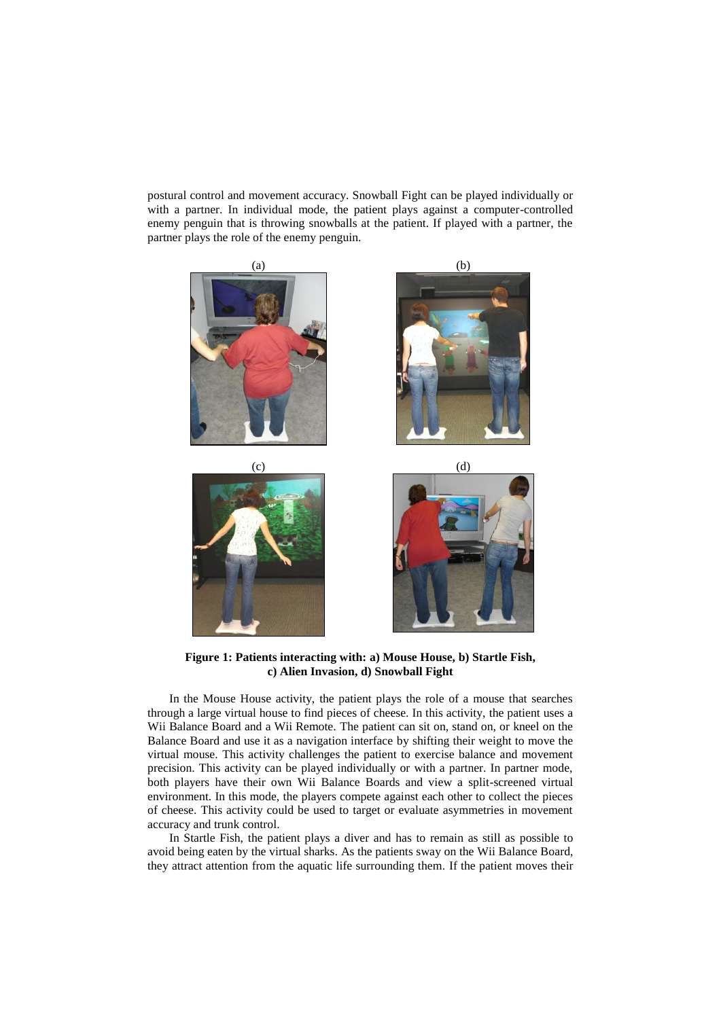postural control and movement accuracy. Snowball Fight can be played individually or with a partner. In individual mode, the patient plays against a computer-controlled enemy penguin that is throwing snowballs at the patient. If played with a partner, the partner plays the role of the enemy penguin.



**Figure 1: Patients interacting with: a) Mouse House, b) Startle Fish, c) Alien Invasion, d) Snowball Fight**

In the Mouse House activity, the patient plays the role of a mouse that searches through a large virtual house to find pieces of cheese. In this activity, the patient uses a Wii Balance Board and a Wii Remote. The patient can sit on, stand on, or kneel on the Balance Board and use it as a navigation interface by shifting their weight to move the virtual mouse. This activity challenges the patient to exercise balance and movement precision. This activity can be played individually or with a partner. In partner mode, both players have their own Wii Balance Boards and view a split-screened virtual environment. In this mode, the players compete against each other to collect the pieces of cheese. This activity could be used to target or evaluate asymmetries in movement accuracy and trunk control.

In Startle Fish, the patient plays a diver and has to remain as still as possible to avoid being eaten by the virtual sharks. As the patients sway on the Wii Balance Board, they attract attention from the aquatic life surrounding them. If the patient moves their